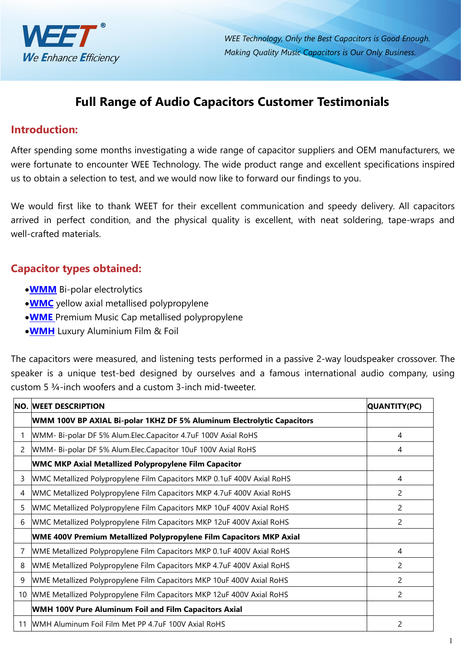

*WEE Technology, Only the Best Capacitors is Good Enough. Making Quality Music Capacitors is Our Only Business.*

# **Full Range of Audio Capacitors Customer Testimonials**

### **Introduction:**

After spending some months investigating a wide range of capacitor suppliers and OEM manufacturers, we were fortunate to encounter WEE Technology. The wide product range and excellent specifications inspired us to obtain a selection to test, and we would now like to forward our findings to you.

We would first like to thank WEET for their excellent communication and speedy delivery. All capacitors arrived in perfect condition, and the physical quality is excellent, with neat soldering, tape-wraps and well-crafted materials.

### **Capacitor types obtained:**

- **[WMM](https://www.weetcap.com/Aluminum-Electrolytic-Capacitors/WEET-WMM-BP-Axia-Bi-polar-Aluminum-Electrolytic-Capacitors-for-Audio-and-Speaker-System.html)** Bi-polar electrolytics
- **[WMC](https://www.weetcap.com/Audio-Capacitors/WEET-WMC-MKP-CBB19-Metallized-Polypropylene-Film-Capacitor-Axial-and-Round.html)** yellow axial metallised polypropylene
- **[WME](https://www.weetcap.com/Audio-Capacitors/WEET-WME-Premium-Metallized-Polypropylene-Film-Capacitor-For-Music-Audio-Application.html)** Premium Music Cap metallised polypropylene
- **[WMH](https://www.weetcap.com/Audio-Capacitors/WEET-WMH-100V-200V-Pure-Aluminum-Foil-and-Polypropylene-Film-Capacitors-For-Tweeters.html)** Luxury Aluminium Film & Foil

The capacitors were measured, and listening tests performed in a passive 2-way loudspeaker crossover. The speaker is a unique test-bed designed by ourselves and a famous international audio company, using custom 5 ¾-inch woofers and a custom 3-inch mid-tweeter.

|    | NO. WEET DESCRIPTION                                                       | QUANTITY(PC)   |
|----|----------------------------------------------------------------------------|----------------|
|    | WMM 100V BP AXIAL Bi-polar 1KHZ DF 5% Aluminum Electrolytic Capacitors     |                |
|    | WMM- Bi-polar DF 5% Alum.Elec.Capacitor 4.7uF 100V Axial RoHS              | 4              |
| 2  | WMM- Bi-polar DF 5% Alum. Elec. Capacitor 10uF 100V Axial RoHS             | 4              |
|    | <b>WMC MKP Axial Metallized Polypropylene Film Capacitor</b>               |                |
| 3  | WMC Metallized Polypropylene Film Capacitors MKP 0.1uF 400V Axial RoHS     | 4              |
| 4  | WMC Metallized Polypropylene Film Capacitors MKP 4.7uF 400V Axial RoHS     | 2              |
| 5  | WMC Metallized Polypropylene Film Capacitors MKP 10uF 400V Axial RoHS      | 2              |
| 6  | WMC Metallized Polypropylene Film Capacitors MKP 12uF 400V Axial RoHS      | 2              |
|    | WME 400V Premium Metallized Polypropylene Film Capacitors MKP Axial        |                |
|    | WME Metallized Polypropylene Film Capacitors MKP 0.1uF 400V Axial RoHS     | 4              |
| 8  | WME Metallized Polypropylene Film Capacitors MKP 4.7uF 400V Axial RoHS     | 2              |
| 9  | WME Metallized Polypropylene Film Capacitors MKP 10uF 400V Axial RoHS      | 2              |
|    | 10   WME Metallized Polypropylene Film Capacitors MKP 12uF 400V Axial RoHS | $\overline{c}$ |
|    | <b>WMH 100V Pure Aluminum Foil and Film Capacitors Axial</b>               |                |
| 11 | WMH Aluminum Foil Film Met PP 4.7uF 100V Axial RoHS                        | 2              |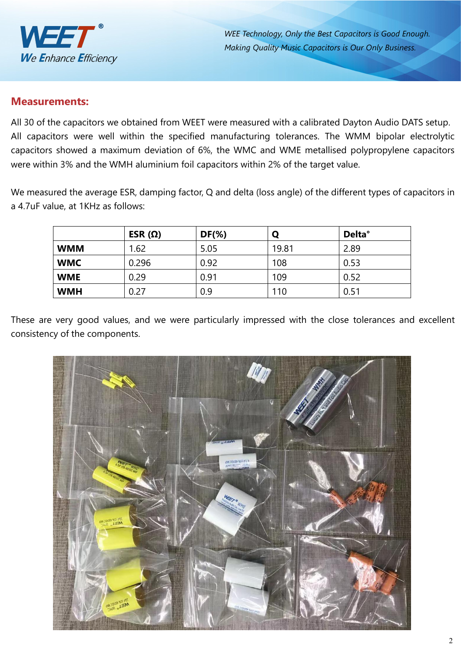

*WEE Technology,Only the Best Capacitors is Good Enough. Making Quality Music Capacitors is Our Only Business.*

### **Measurements:**

All 30 of the capacitors we obtained from WEET were measured with a calibrated Dayton Audio DATS setup. All capacitors were well within the specified manufacturing tolerances. The WMM bipolar electrolytic capacitors showed a maximum deviation of 6%, the WMC and WME metallised polypropylene capacitors were within 3% and the WMH aluminium foil capacitors within 2% of the target value.

We measured the average ESR, damping factor, Q and delta (loss angle) of the different types of capacitors in a 4.7uF value, at 1KHz as follows:

|            | ESR $(\Omega)$ | $DF(\%)$ |       | <b>Delta</b> ° |
|------------|----------------|----------|-------|----------------|
| <b>WMM</b> | 1.62           | 5.05     | 19.81 | 2.89           |
| <b>WMC</b> | 0.296          | 0.92     | 108   | 0.53           |
| <b>WME</b> | 0.29           | 0.91     | 109   | 0.52           |
| <b>WMH</b> | 0.27           | 0.9      | 110   | 0.51           |

These are very good values, and we were particularly impressed with the close tolerances and excellent consistency of the components.

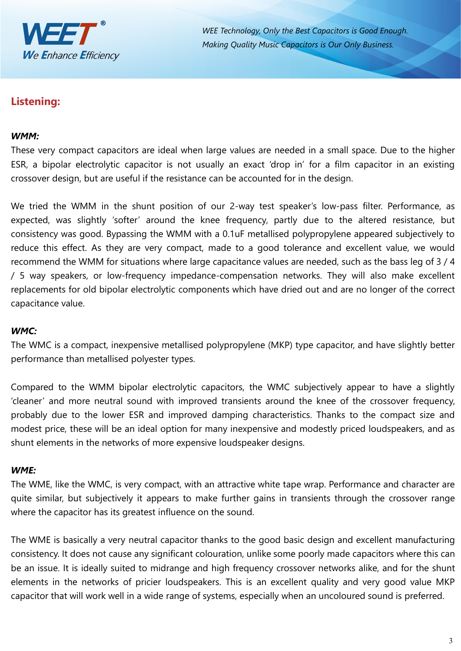

*WEE Technology, Only the Best Capacitors is Good Enough. Making Quality Music Capacitors is Our Only Business.*

## **Listening:**

#### *WMM:*

These very compact capacitors are ideal when large values are needed in a small space. Due to the higher ESR, a bipolar electrolytic capacitor is not usually an exact 'drop in' for a film capacitor in an existing crossover design, but are useful if the resistance can be accounted for in the design.

We tried the WMM in the shunt position of our 2-way test speaker's low-pass filter. Performance, as expected, was slightly 'softer' around the knee frequency, partly due to the altered resistance, but consistency was good. Bypassing the WMM with a 0.1uF metallised polypropylene appeared subjectively to reduce this effect. As they are very compact, made to a good tolerance and excellent value, we would recommend the WMM for situations where large capacitance values are needed, such as the bass leg of 3 / 4 / 5 way speakers, or low-frequency impedance-compensation networks. They will also make excellent replacements for old bipolar electrolytic components which have dried out and are no longer of the correct capacitance value.

#### *WMC:*

The WMC is a compact, inexpensive metallised polypropylene (MKP) type capacitor, and have slightly better performance than metallised polyester types.

Compared to the WMM bipolar electrolytic capacitors, the WMC subjectively appear to have a slightly 'cleaner' and more neutral sound with improved transients around the knee of the crossover frequency, probably due to the lower ESR and improved damping characteristics. Thanks to the compact size and modest price, these will be an ideal option for many inexpensive and modestly priced loudspeakers, and as shunt elements in the networks of more expensive loudspeaker designs.

#### *WME:*

The WME, like the WMC, is very compact, with an attractive white tape wrap. Performance and character are quite similar, but subjectively it appears to make further gains in transients through the crossover range where the capacitor has its greatest influence on the sound.

The WME is basically a very neutral capacitor thanks to the good basic design and excellent manufacturing consistency. It does not cause any significant colouration, unlike some poorly made capacitors where thiscan be an issue. It is ideally suited to midrange and high frequency crossover networks alike, and for the shunt elements in the networks of pricier loudspeakers. This is an excellent quality and very good value MKP capacitor that will work well in a wide range of systems, especially when an uncoloured sound is preferred.